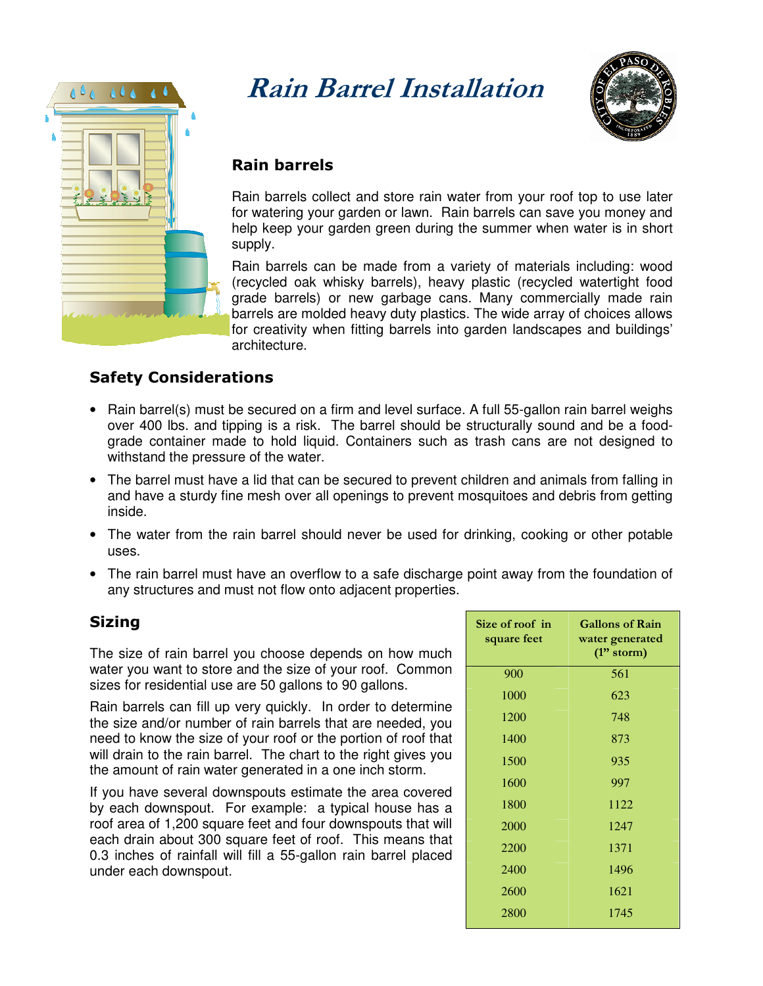

# Rain Barrel Installation



## Rain barrels

Rain barrels collect and store rain water from your roof top to use later for watering your garden or lawn. Rain barrels can save you money and help keep your garden green during the summer when water is in short supply.

Rain barrels can be made from a variety of materials including: wood (recycled oak whisky barrels), heavy plastic (recycled watertight food grade barrels) or new garbage cans. Many commercially made rain barrels are molded heavy duty plastics. The wide array of choices allows for creativity when fitting barrels into garden landscapes and buildings' architecture.

## Safety Considerations

- Rain barrel(s) must be secured on a firm and level surface. A full 55-gallon rain barrel weighs over 400 lbs. and tipping is a risk. The barrel should be structurally sound and be a foodgrade container made to hold liquid. Containers such as trash cans are not designed to withstand the pressure of the water.
- The barrel must have a lid that can be secured to prevent children and animals from falling in and have a sturdy fine mesh over all openings to prevent mosquitoes and debris from getting inside.
- The water from the rain barrel should never be used for drinking, cooking or other potable uses.
- The rain barrel must have an overflow to a safe discharge point away from the foundation of any structures and must not flow onto adjacent properties.

## Sizing

The size of rain barrel you choose depends on how much water you want to store and the size of your roof. Common sizes for residential use are 50 gallons to 90 gallons.

Rain barrels can fill up very quickly. In order to determine the size and/or number of rain barrels that are needed, you need to know the size of your roof or the portion of roof that will drain to the rain barrel. The chart to the right gives you the amount of rain water generated in a one inch storm.

If you have several downspouts estimate the area covered by each downspout. For example: a typical house has a roof area of 1,200 square feet and four downspouts that will each drain about 300 square feet of roof. This means that 0.3 inches of rainfall will fill a 55-gallon rain barrel placed under each downspout.

| Size of roof in<br>square feet | <b>Gallons of Rain</b><br>water generated<br>$(1"$ storm) |
|--------------------------------|-----------------------------------------------------------|
| 900                            | 561                                                       |
| 1000                           | 623                                                       |
| 1200                           | 748                                                       |
| 1400                           | 873                                                       |
| 1500                           | 935                                                       |
| 1600                           | 997                                                       |
| 1800                           | 1122                                                      |
| 2000                           | 1247                                                      |
| 2200                           | 1371                                                      |
| 2400                           | 1496                                                      |
| 2600                           | 1621                                                      |
| 2800                           | 1745                                                      |